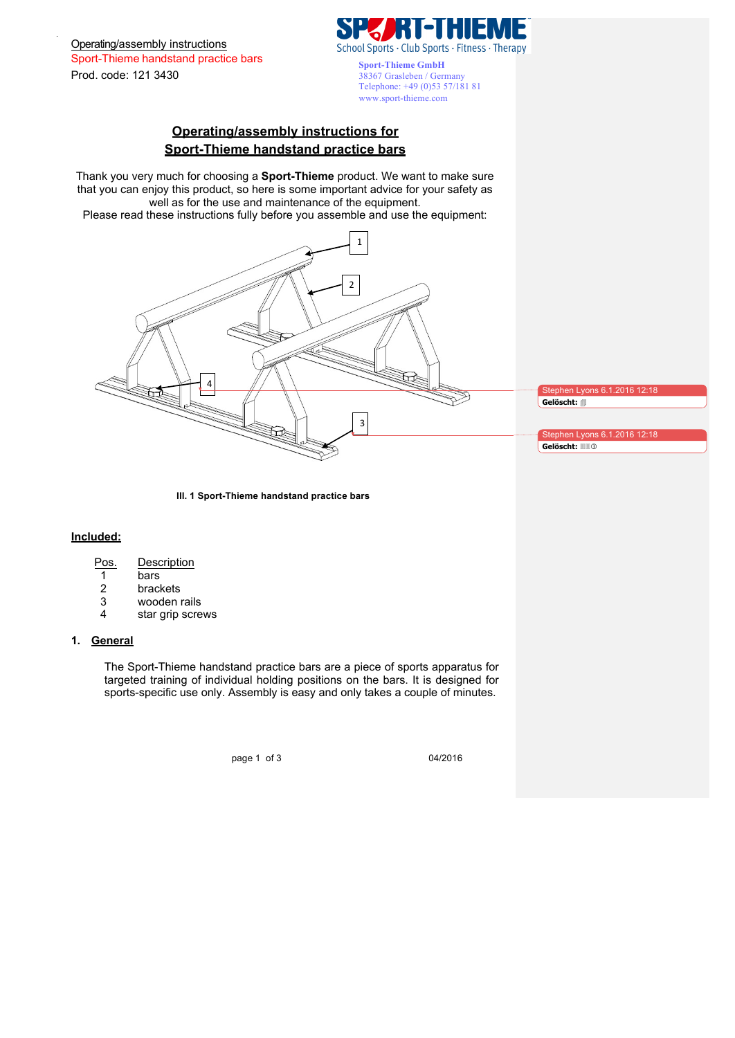Operating/assembly instructions Sport-Thieme handstand practice bars Prod. code: 121 3430



**Sport-Thieme GmbH** 38367 Grasleben / Germany Telephone: +49 (0)53 57/181 81 www.sport-thieme.com

# **Operating/assembly instructions for Sport-Thieme handstand practice bars**

Thank you very much for choosing a **Sport-Thieme** product. We want to make sure that you can enjoy this product, so here is some important advice for your safety as well as for the use and maintenance of the equipment. Please read these instructions fully before you assemble and use the equipment:



Stephen Lyons 6.1.2016 12:18 **Gelöscht:** 4

Stephen Lyons 6.1.2016 12:18 **Gelöscht:** 33

**Ill. 1 Sport-Thieme handstand practice bars**

## **Included:**

- 1 bars
- 2 brackets
- 3 wooden rails
- 4 star grip screws

## **1. General**

The Sport-Thieme handstand practice bars are a piece of sports apparatus for targeted training of individual holding positions on the bars. It is designed for sports-specific use only. Assembly is easy and only takes a couple of minutes.

page 1 of 3 04/2016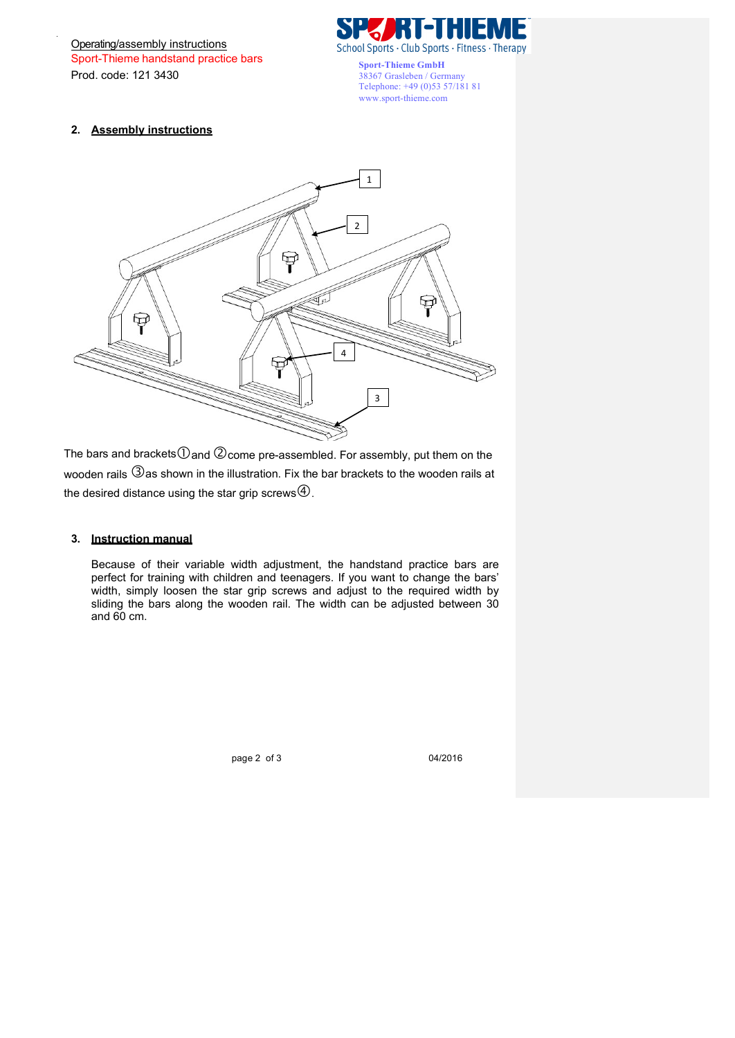Operating/assembly instructions Sport-Thieme handstand practice bars Prod. code: 121 3430



**Sport-Thieme GmbH** 38367 Grasleben / Germany Telephone: +49 (0)53 57/181 81 www.sport-thieme.com

## **2. Assembly instructions**



The bars and brackets $\mathbb O$  and  $\mathbb Q$  come pre-assembled. For assembly, put them on the wooden rails  $\Im$  as shown in the illustration. Fix the bar brackets to the wooden rails at the desired distance using the star grip screws  $\Phi$ .

## **3. Instruction manual**

Because of their variable width adjustment, the handstand practice bars are perfect for training with children and teenagers. If you want to change the bars' width, simply loosen the star grip screws and adjust to the required width by sliding the bars along the wooden rail. The width can be adjusted between 30 and 60 cm.

page 2 of 3 04/2016